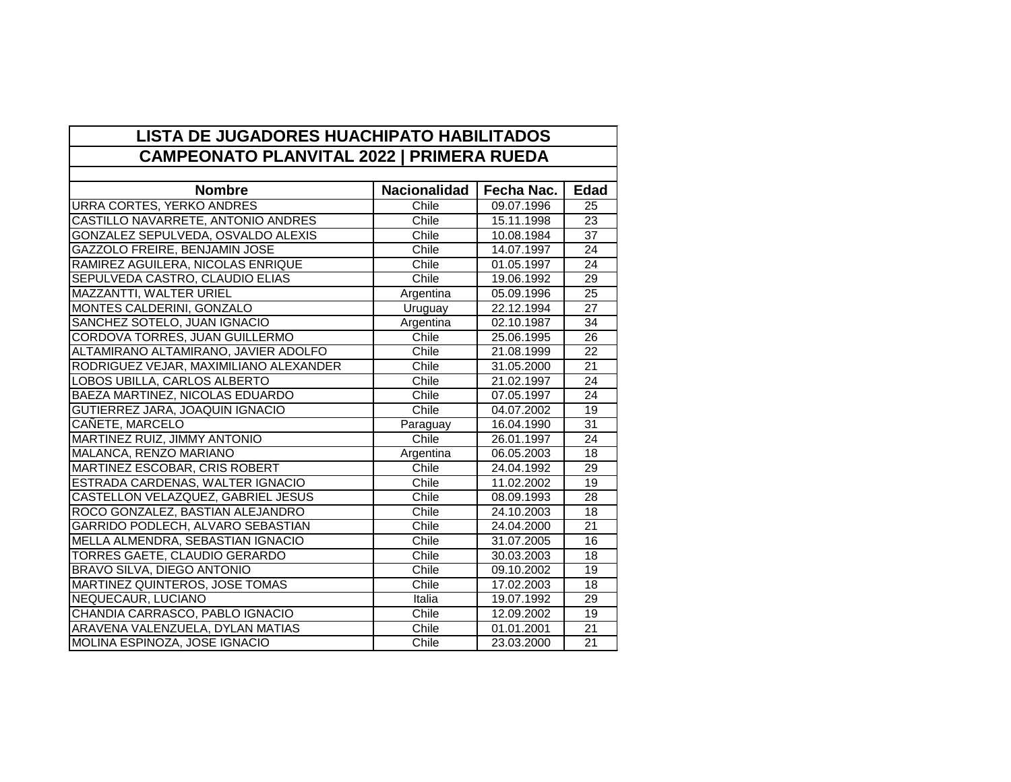| <b>LISTA DE JUGADORES HUACHIPATO HABILITADOS</b> |                     |            |                 |
|--------------------------------------------------|---------------------|------------|-----------------|
| <b>CAMPEONATO PLANVITAL 2022   PRIMERA RUEDA</b> |                     |            |                 |
|                                                  |                     |            |                 |
| <b>Nombre</b>                                    | <b>Nacionalidad</b> | Fecha Nac. | <b>Edad</b>     |
| <b>URRA CORTES, YERKO ANDRES</b>                 | Chile               | 09.07.1996 | 25              |
| CASTILLO NAVARRETE, ANTONIO ANDRES               | Chile               | 15.11.1998 | 23              |
| <b>GONZALEZ SEPULVEDA, OSVALDO ALEXIS</b>        | Chile               | 10.08.1984 | 37              |
| <b>GAZZOLO FREIRE, BENJAMIN JOSE</b>             | Chile               | 14.07.1997 | 24              |
| RAMIREZ AGUILERA, NICOLAS ENRIQUE                | Chile               | 01.05.1997 | 24              |
| SEPULVEDA CASTRO, CLAUDIO ELIAS                  | Chile               | 19.06.1992 | 29              |
| <b>MAZZANTTI, WALTER URIEL</b>                   | Argentina           | 05.09.1996 | 25              |
| MONTES CALDERINI, GONZALO                        | Uruguay             | 22.12.1994 | 27              |
| SANCHEZ SOTELO, JUAN IGNACIO                     | Argentina           | 02.10.1987 | 34              |
| CORDOVA TORRES, JUAN GUILLERMO                   | Chile               | 25.06.1995 | 26              |
| ALTAMIRANO ALTAMIRANO, JAVIER ADOLFO             | Chile               | 21.08.1999 | 22              |
| RODRIGUEZ VEJAR, MAXIMILIANO ALEXANDER           | Chile               | 31.05.2000 | 21              |
| LOBOS UBILLA, CARLOS ALBERTO                     | Chile               | 21.02.1997 | 24              |
| BAEZA MARTINEZ, NICOLAS EDUARDO                  | Chile               | 07.05.1997 | 24              |
| GUTIERREZ JARA, JOAQUIN IGNACIO                  | Chile               | 04.07.2002 | 19              |
| CANETE, MARCELO                                  | Paraguay            | 16.04.1990 | $\overline{31}$ |
| <b>MARTINEZ RUIZ, JIMMY ANTONIO</b>              | Chile               | 26.01.1997 | $\overline{24}$ |
| MALANCA, RENZO MARIANO                           | Argentina           | 06.05.2003 | 18              |
| MARTINEZ ESCOBAR, CRIS ROBERT                    | Chile               | 24.04.1992 | 29              |
| ESTRADA CARDENAS, WALTER IGNACIO                 | Chile               | 11.02.2002 | $\overline{19}$ |
| CASTELLON VELAZQUEZ, GABRIEL JESUS               | Chile               | 08.09.1993 | 28              |
| ROCO GONZALEZ, BASTIAN ALEJANDRO                 | Chile               | 24.10.2003 | $\overline{18}$ |
| <b>GARRIDO PODLECH, ALVARO SEBASTIAN</b>         | Chile               | 24.04.2000 | 21              |
| MELLA ALMENDRA, SEBASTIAN IGNACIO                | Chile               | 31.07.2005 | 16              |
| TORRES GAETE, CLAUDIO GERARDO                    | Chile               | 30.03.2003 | 18              |
| <b>BRAVO SILVA, DIEGO ANTONIO</b>                | Chile               | 09.10.2002 | 19              |
| MARTINEZ QUINTEROS, JOSE TOMAS                   | Chile               | 17.02.2003 | 18              |
| <b>NEQUECAUR, LUCIANO</b>                        | Italia              | 19.07.1992 | $\overline{29}$ |
| CHANDIA CARRASCO, PABLO IGNACIO                  | Chile               | 12.09.2002 | 19              |
| ARAVENA VALENZUELA, DYLAN MATIAS                 | Chile               | 01.01.2001 | $\overline{21}$ |
| MOLINA ESPINOZA, JOSE IGNACIO                    | Chile               | 23.03.2000 | $\overline{21}$ |

┑.

г